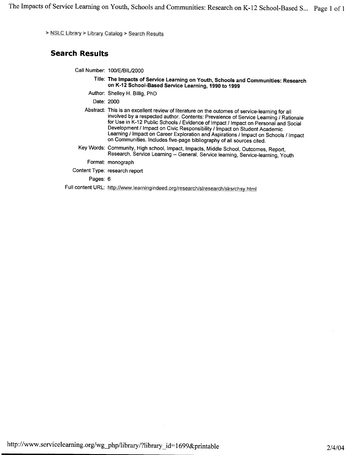The Impacts of Service Learning on Youth, Schools and Communities: Research on K-12 School-Based S ... Page **<sup>1</sup>**of <sup>1</sup>

> NSLC Library > Library Catalog > Search Results

#### **Search Results**

Call Number: 100/E/BIU2000

- Title: **The Impacts of Service Learning on Youth, Schools and Communities: Research on K-12 School-Based Service Learning, 1990 to 1999**
- Author: Shelley H. Billig, PhD

Date: 2000

Abstract: This is an excellent review of literature on the outomes of service-learning for all involved by a respected author. Contents: Prevalence of Service Learning / Rationale for Use in K-12 Public Schools / Evidence of Impact / Impact on Personal and Social Development / Impact on Civic Responsibility / Impact on Student Academic Learning / Impact on Career Exploration and Aspirations / Impact on Schools / Impact on Communities. Includes five-page bibliography of all sources cited.

Key Words: Community, High school, Impact, Impacts, Middle School, Outcomes, Report, Research, Service Learning-- General, Service learning, Service-learning, Youth

Format: monograph

Content Type: research report

Pages: 6

Full content URL: http://www.learningindeed.org/research/slresearch/slrsrchsy.html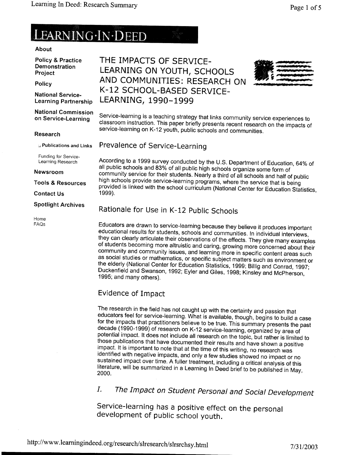# LEARNING IN DEED

#### About

Policy & Practice Demonstration Project

Policy

National Service-Learning Partnership

THE IMPACTS OF SERVICE-LEARNING ON YOUTH, SCHOOLS AND COMMUNITIES: RESEARCH ON K-12 SCHOOL-BASED SERVICE-LEARNING, 1990-1999



National Commission Service-learning is a teaching strategy that links community service experiences to<br>on Service-Learning classroom instruction. This paper briefly presents recent research on the impacts of service-learning on K-12 youth, public schools and communities.

#### Research

 $\mu$  Publications and Links

Funding for Service-Learning Research

Newsroom

Tools & Resources

Contact Us

#### Spotlight Archives

Home FAQs According to a 1999 survey conducted by the U.S. Department of Education, 64% of all public schools and 83% of all public high schools organize some form of community service for their students. Nearly a third of all schools and half of public high schools provide service-learning programs, where the service that is being provided is linked with the school curriculum (National Center for Education Statistics, 1999).

### Rationale for Use in K-12 Public Schools

Prevalence of Service-Learning

Educators are drawn to service-learning because they believe it produces important educational results for students, schools and communities. In individual interviews, they can clearly articulate their observations of the effects. They give many examples of students becoming more altruistic and caring, growing more concerned about their community and community issues, and learning more in specific content areas such as social studies or mathematics, or specific subject matters such as environment or the elderly (National Center for Education Statistics, 1999; Billig and Conrad, 1997; Duckenfield and Swanson, 1992; Eyler and Giles, 1998; Kinsley and McPherson, 1995; and many others).

## Evidence of Impact

The research in the field has not caught up with the certainty and passion that educators feel for service-learning. What is available, though, begins to build a case for the impacts that practitioners believe to be true. This summary presents the past decade (1990-1999) of research on K-12 service-learning, organized by area of potential impact. It does not include all research on the topic, but rather is limited to those publications that have documented their results and have shown a positive impact. It is important to note that at the time of this writing, no research was identified with negative impacts, and only a few studies showed no impact or no sustained impact over time. A fuller treatment, including a critical analysis of this literature, will be summarized in a Learning In Deed brief to be published in May, 2000.

I. The Impact on Student Personal and Social Development

Service-learning has a positive effect on the personal development of public school youth.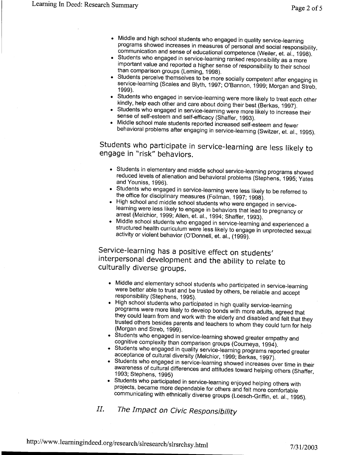- Middle and high school students who engaged in quality service-learning programs showed increases in measures of personal and social responsibility, communication and sense of educational competence (Weiler, et. al., 1998).
- Students who engaged in service-learning ranked responsibility as a more important value and reported a higher sense of responsibility to their school than comparison groups (Leming, 1998).
- Students perceive themselves to be more socially competent after engaging in service-learning (Scales and Blyth, 1997; O'Bannon, 1999; Morgan and Streb, 1999).
- Students who engaged in service-learning were more likely to treat each other kindly, help each other and care about doing their best (Berkas, 1997).
- Students who engaged in service-learning were more likely to increase their sense of self-esteem and self-efficacy (Shaffer, 1993).
- Middle school male students reported increased self-esteem and fewer behavioral problems after engaging in service-learning (Switzer, et. al., 1995).

Students who participate in service-learning are less likely to engage in "risk" behaviors.

- Students in elementary and middle school service-learning programs showed reduced levels of alienation and behavioral problems (Stephens, 1995; Yates and Youniss, 1996).
- Students who engaged in service-learning were less likely to be referred to the office for disciplinary measures (Follman, 1997; 1998).
- High school and middle school students who were engaged in servicelearning were less likely to engage in behaviors that lead to pregnancy or arrest (Melchior, 1999; Allen, et. al., 1994; Shaffer, 1993).
- Middle school students who engaged in service-learning and experienced a structured health curriculum were less likely to engage in unprotected sexual activity or violent behavior (O'Donnell, et. al., (1999).

Service-learning has a positive effect on students' interpersonal development and the ability to relate to culturally diverse groups.

- Middle and elementary school students who participated in service-learning were better able to trust and be trusted by others, be reliable and accept responsibility (Stephens, 1995).
- High school students who participated in high quality service-learning programs were more likely to develop bonds with more adults, agreed that they could learn from and work with the elderly and disabled and felt that they trusted others besides parents and teachers to whom they could turn for help (Morgan and Streb, 1999).
- Students who engaged in service-learning showed greater empathy and cognitive complexity than comparison groups (Courneya, 1994).
- Students who engaged in quality service-learning programs reported greater acceptance of cultural diversity (Melchior, 1999; Berkas, 1997).
- Students who engaged in service-learning showed increases over time in their awareness of cultural differences and attitudes toward helping others (Shaffer, 1993; Stephens, 1995)
- Students who participated in service-learning enjoyed helping others with projects, became more dependable for others and felt more comfortable communicating with ethnically diverse groups (Loesch-Griffin, et. al., 1995).

II. The Impact on Civic Responsibility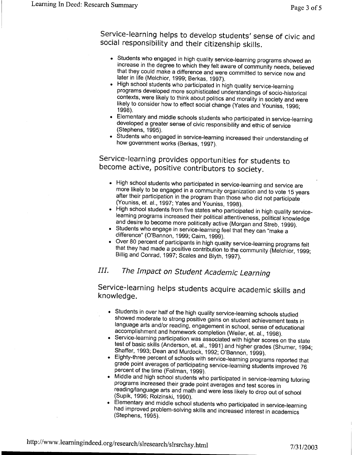Service-learning helps to develop students' sense of civic and social responsibility and their citizenship skills.

- Students who engaged in high quality service-learning programs showed an increase in the degree to which they felt aware of community needs, believed that they could make a difference and were committed to service now and later in life (Melchior, 1999; Berkas, 1997).
- High school students who participated in high quality service-learning programs developed more sophisticated understandings of socio-historical contexts, were likely to think about politics and morality in society and were likely to consider how to effect social change (Yates and Youniss, 1996; 1998).
- Elementary and middle schools students who participated in service-learning developed a greater sense of civic responsibility and ethic of service (Stephens, 1995).
- Students who engaged in service-learning increased their understanding of how government works (Berkas, 1997).

Service-learning provides opportunities for students to become active, positive contributors to society.

- High school students who participated in service-learning and service are more likely to be engaged in a community organization and to vote 15 years after their participation in the program than those who did not participate (Youniss, et. al., 1997; Yates and Youniss, 1998).
- High school students from five states who participated in high quality servicelearning programs increased their political attentiveness, political knowledge and desire to become more politically active (Morgan and Streb, 1999).
- Students who engage in service-learning feel that they can "make a difference" (O'Bannon, 1999; Cairn, 1999).
- Over 80 percent of participants in high quality service-learning programs felt that they had made a positive contribution to the community (Melchior, 1999; Billig and Conrad, 1997; Scales and Blyth, 1997).

# III. The Impact on Student Academic Learning

Service-learning helps students acquire academic skills and knowledge.

- Students in over half of the high quality service-learning schools studied showed moderate to strong positive gains on student achievement tests in language arts and/or reading, engagement in school, sense of educational accomplishment and homework completion (Weiler, et. al., 1998).
- Service-learning participation was associated with higher scores on the state test of basic skills (Anderson, et. al., 1991) and higher grades (Shumer, 1994; Shaffer, 1993; Dean and Murdock, 1992; O'Bannon, 1999).
- Eighty-three percent of schools with service-learning programs reported that grade point averages of participating service-learning students improved <sup>76</sup> percent of the time (Follman, 1999).
- Middle and high school students who participated in service-learning tutoring programs increased their grade point averages and test scores in reading/language arts and math and were less likely to drop out of school (Supik, 1996; Rolzinski, 1990).
- Elementary and middle school students who participated in service-learning had improved problem-solving skills and increased interest in academics (Stephens, 1995).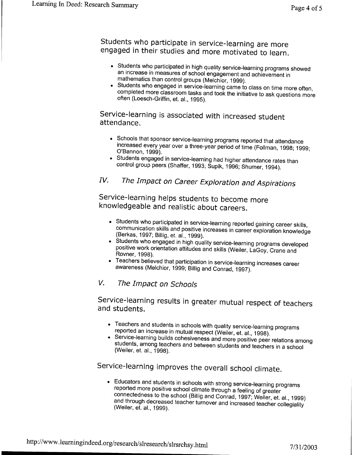Students who participate in service-learning are more engaged in their studies and more motivated to learn.

- Students who participated in high quality service-learning programs showed an increase in measures of school engagement and achievement in mathematics than control groups (Melchior, 1999).
- Students who engaged in service-learning came to class on time more often, completed more classroom tasks and took the initiative to ask questions more often (Loesch-Griffin, et. al., 1995).

### Service-learning is associated with increased student attendance.

- Schools that sponsor service-learning programs reported that attendance increased every year over a three-year period of time (Follman, 1998; 1999; O'Bannon, 1999).
- Students engaged in service-learning had higher attendance rates than control group peers (Shaffer, 1993; Supik, 1996; Shumer, 1994).

# IV. The Impact on Career Exploration and Aspirations

Service-learning helps students to become more knowledgeable and realistic about careers.

- Students who participated in service-learning reported gaining career skills, communication skills and positive increases in career exploration knowledge (Berkas, 1997; Billig, et. al., 1999).
- Students who engaged in high quality service-learning programs developed positive work orientation attitudes and skills (Weiler, LaGoy, Crane and Rovner, 1998).
- Teachers believed that participation in service-learning increases career awareness (Melchior, 1999; Billig and Conrad, 1997).

### V. The Impact on Schools

Service-learning results in greater mutual respect of teachers and students.

- Teachers and students in schools with quality service-learning programs reported an increase in mutual respect (Weiler, et. al., 1998).
- Service-learning builds cohesiveness and more positive peer relations among students, among teachers and between students and teachers in a school (Weiler, et. al., 1998).

# Service-learning improves the overall school climate.

• Educators and students in schools with strong service-learning programs reported more positive school climate through a feeling of greater connectedness to the school (Billig and Conrad, 1997; Weiler, et. al., 1999) and through decreased teacher turnover and increased teacher collegiality (Weiler, et. al., 1999).